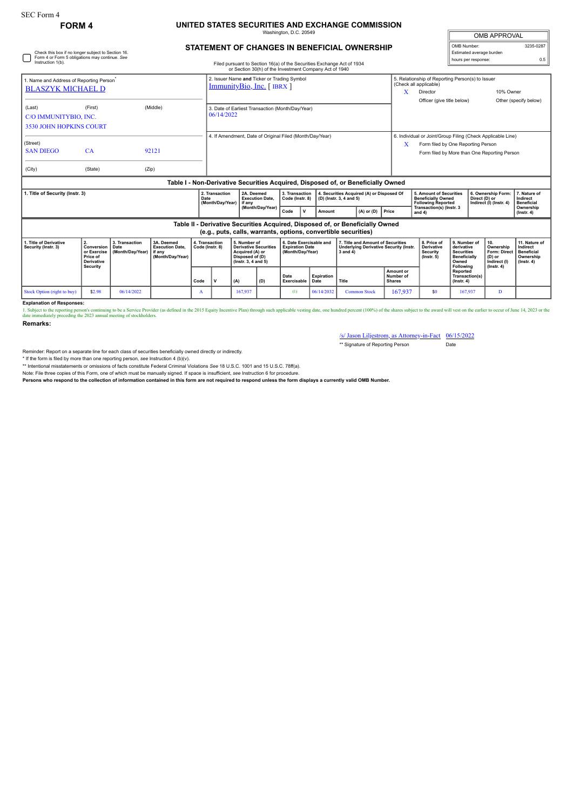## **FORM 4 UNITED STATES SECURITIES AND EXCHANGE COMMISSION**

Washington, D.C. 20549

| <b>OMB APPROVAL</b>      |           |  |  |  |  |  |  |  |
|--------------------------|-----------|--|--|--|--|--|--|--|
| OMB Number:              | 3235-0287 |  |  |  |  |  |  |  |
| Estimated average burden |           |  |  |  |  |  |  |  |
| hours per response:      | 0.5       |  |  |  |  |  |  |  |

## **STATEMENT OF CHANGES IN BENEFICIAL OWNERSHIP**

| Check this box if no longer subject to Section 16.<br>Form 4 or Form 5 obligations may continue. See<br>Instruction 1(b).                       |                                                                                     |                                            |                                                                            |                                   | Filed pursuant to Section 16(a) of the Securities Exchange Act of 1934 |                                                                                                                                       |     |                                                                       |                    |                                                                                                |                                         | Estimated average burden<br>hours per response:                                                                                                        |                                                                                              |                                                                |                                                                                       | 0.5                                                                             |  |
|-------------------------------------------------------------------------------------------------------------------------------------------------|-------------------------------------------------------------------------------------|--------------------------------------------|----------------------------------------------------------------------------|-----------------------------------|------------------------------------------------------------------------|---------------------------------------------------------------------------------------------------------------------------------------|-----|-----------------------------------------------------------------------|--------------------|------------------------------------------------------------------------------------------------|-----------------------------------------|--------------------------------------------------------------------------------------------------------------------------------------------------------|----------------------------------------------------------------------------------------------|----------------------------------------------------------------|---------------------------------------------------------------------------------------|---------------------------------------------------------------------------------|--|
| 1. Name and Address of Reporting Person <sup>®</sup><br><b>BLASZYK MICHAEL D</b>                                                                |                                                                                     |                                            |                                                                            |                                   |                                                                        | or Section 30(h) of the Investment Company Act of 1940<br>2. Issuer Name and Ticker or Trading Symbol<br>$ImmunityBio, Inc.$ [ IBRX ] |     |                                                                       |                    |                                                                                                |                                         | 5. Relationship of Reporting Person(s) to Issuer<br>(Check all applicable)<br>10% Owner<br>Director<br>x                                               |                                                                                              |                                                                |                                                                                       |                                                                                 |  |
| (Last)<br>C/O IMMUNITYBIO, INC.<br><b>3530 JOHN HOPKINS COURT</b>                                                                               | (First)                                                                             |                                            | (Middle)<br>3. Date of Earliest Transaction (Month/Day/Year)<br>06/14/2022 |                                   |                                                                        |                                                                                                                                       |     |                                                                       |                    |                                                                                                |                                         | Officer (give title below)                                                                                                                             |                                                                                              |                                                                |                                                                                       | Other (specify below)                                                           |  |
| (Street)<br><b>SAN DIEGO</b><br>(City)                                                                                                          | CA<br>(State)                                                                       | (Zip)                                      | 92121                                                                      |                                   | 4. If Amendment, Date of Original Filed (Month/Day/Year)               |                                                                                                                                       |     |                                                                       |                    |                                                                                                |                                         | 6. Individual or Joint/Group Filing (Check Applicable Line)<br>Form filed by One Reporting Person<br>X<br>Form filed by More than One Reporting Person |                                                                                              |                                                                |                                                                                       |                                                                                 |  |
| Table I - Non-Derivative Securities Acquired, Disposed of, or Beneficially Owned                                                                |                                                                                     |                                            |                                                                            |                                   |                                                                        |                                                                                                                                       |     |                                                                       |                    |                                                                                                |                                         |                                                                                                                                                        |                                                                                              |                                                                |                                                                                       |                                                                                 |  |
| . Title of Security (Instr. 3)<br>Date                                                                                                          |                                                                                     |                                            |                                                                            |                                   | 2. Transaction<br>(Month/Day/Year)                                     | 2A. Deemed<br><b>Execution Date.</b><br>if any<br>(Month/Day/Year)                                                                    |     | 3. Transaction<br>Code (Instr. 8)<br>Code<br>$\mathbf v$              | Amount             | 4. Securities Acquired (A) or Disposed Of<br>(D) (Instr. 3, 4 and 5)<br>$(A)$ or $(D)$         | Price                                   | 5. Amount of Securities<br><b>Beneficially Owned</b><br><b>Following Reported</b><br>Transaction(s) (Instr. 3<br>and 4)                                |                                                                                              | 6. Ownership Form:<br>Direct (D) or<br>Indirect (I) (Instr. 4) |                                                                                       | 7. Nature of<br>Indirect<br><b>Beneficial</b><br>Ownership<br>$($ Instr. 4 $)$  |  |
| Table II - Derivative Securities Acquired, Disposed of, or Beneficially Owned<br>(e.g., puts, calls, warrants, options, convertible securities) |                                                                                     |                                            |                                                                            |                                   |                                                                        |                                                                                                                                       |     |                                                                       |                    |                                                                                                |                                         |                                                                                                                                                        |                                                                                              |                                                                |                                                                                       |                                                                                 |  |
| 1. Title of Derivative<br>Security (Instr. 3)                                                                                                   | 2.<br>Conversion<br>or Exercise<br>Price of<br><b>Derivative</b><br><b>Security</b> | 3. Transaction<br>Date<br>(Month/Day/Year) | 3A. Deemed<br><b>Execution Date.</b><br>if any<br>(Month/Day/Year)         | 4. Transaction<br>Code (Instr. 8) |                                                                        | 5. Number of<br><b>Derivative Securities</b><br>Acquired (A) or<br>Disposed of (D)<br>(Instr. 3, 4 and 5)                             |     | 6. Date Exercisable and<br><b>Expiration Date</b><br>(Month/Day/Year) |                    | 7. Title and Amount of Securities<br><b>Underlying Derivative Security (Instr.</b><br>3 and 4) |                                         | 8. Price of<br>Derivative<br><b>Security</b><br>$($ lnstr $, 5)$                                                                                       | 9. Number of<br>derivative<br><b>Securities</b><br><b>Beneficially</b><br>Owned<br>Following |                                                                | 10.<br>Ownership<br><b>Form: Direct</b><br>(D) or<br>Indirect (I)<br>$($ lnstr. 4 $)$ | 11. Nature of<br>Indirect<br><b>Beneficial</b><br>Ownership<br>$($ lnstr. 4 $)$ |  |
|                                                                                                                                                 |                                                                                     |                                            |                                                                            | Code                              |                                                                        | (A)                                                                                                                                   | (D) | Date<br>Exercisable                                                   | Expiration<br>Date | Title                                                                                          | Amount or<br>Number of<br><b>Shares</b> |                                                                                                                                                        | Reported<br>Transaction(s)<br>$($ lnstr, 4 $)$                                               |                                                                |                                                                                       |                                                                                 |  |

Stock Option (right to buy) | \$2.98 | 06/14/2022 | A | 167,937 | (1) | 06/14/2032 Common Stock | 167,937 | \$0 | 167,937 | D **Explanation of Responses:**

1. Subject to the reporting person's continuing to be a Service Provider (as defined in the 2015 Equity Incentive Plan) through such applicable vesting date, one hundred percent (100%) of the shares subject to the award wi

**Remarks:**

/s/ Jason Liljestrom, as Attorney-in-Fact 06/15/2022

\*\* Signature of Reporting Person Date

Reminder: Report on a separate line for each class of securities beneficially owned directly or indirectly.

\* If the form is filed by more than one reporting person, see Instruction 4 (b)(v).<br>\*\* Intentional misstatements or omissions of facts constitute Federal Criminal Violations See 18 U.S.C. 1001 and 15 U.S.C. 78ff(a).

Note: File three copies of this Form, one of which must be manually signed. If space is insufficient, *see* Instruction 6 for procedure.

**Persons who respond to the collection of information contained in this form are not required to respond unless the form displays a currently valid OMB Number.**